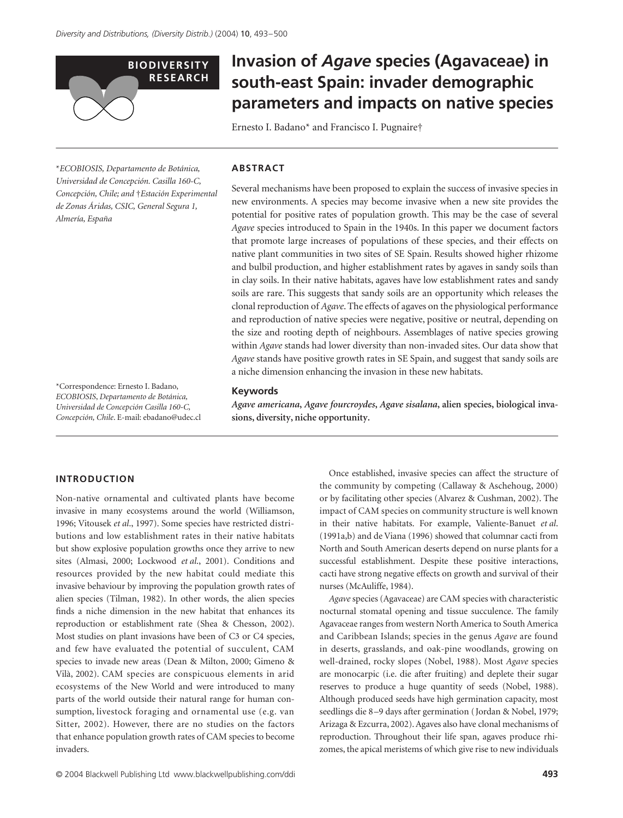

# **Invasion of** *Agave* **species (Agavaceae) in south-east Spain: invader demographic parameters and impacts on native species**

Ernesto I. Badano\* and Francisco I. Pugnaire†

\**ECOBIOSIS, Departamento de Botánica, Universidad de Concepción. Casilla 160-C, Concepción, Chile; and* †*Estación Experimental de Zonas Áridas, CSIC, General Segura 1, Almería, España* 

# **ABSTRACT**

Several mechanisms have been proposed to explain the success of invasive species in new environments. A species may become invasive when a new site provides the potential for positive rates of population growth. This may be the case of several *Agave* species introduced to Spain in the 1940s. In this paper we document factors that promote large increases of populations of these species, and their effects on native plant communities in two sites of SE Spain. Results showed higher rhizome and bulbil production, and higher establishment rates by agaves in sandy soils than in clay soils. In their native habitats, agaves have low establishment rates and sandy soils are rare. This suggests that sandy soils are an opportunity which releases the clonal reproduction of *Agave*. The effects of agaves on the physiological performance and reproduction of native species were negative, positive or neutral, depending on the size and rooting depth of neighbours. Assemblages of native species growing within *Agave* stands had lower diversity than non-invaded sites. Our data show that *Agave* stands have positive growth rates in SE Spain, and suggest that sandy soils are a niche dimension enhancing the invasion in these new habitats.

## **Keywords**

\*Correspondence: Ernesto I. Badano, *ECOBIOSIS*, *Departamento de Botánica, Universidad de Concepción Casilla 160-C, Concepción, Chile*. E-mail: ebadano@udec.cl

*Agave americana***,** *Agave fourcroydes***,** *Agave sisalana***, alien species, biological invasions, diversity, niche opportunity.**

# **INTRODUCTION**

Non-native ornamental and cultivated plants have become invasive in many ecosystems around the world (Williamson, 1996; Vitousek *et al*., 1997). Some species have restricted distributions and low establishment rates in their native habitats but show explosive population growths once they arrive to new sites (Almasi, 2000; Lockwood *et al*., 2001). Conditions and resources provided by the new habitat could mediate this invasive behaviour by improving the population growth rates of alien species (Tilman, 1982). In other words, the alien species finds a niche dimension in the new habitat that enhances its reproduction or establishment rate (Shea & Chesson, 2002). Most studies on plant invasions have been of C3 or C4 species, and few have evaluated the potential of succulent, CAM species to invade new areas (Dean & Milton, 2000; Gimeno & Vilà, 2002). CAM species are conspicuous elements in arid ecosystems of the New World and were introduced to many parts of the world outside their natural range for human consumption, livestock foraging and ornamental use (e.g. van Sitter, 2002). However, there are no studies on the factors that enhance population growth rates of CAM species to become invaders.

Once established, invasive species can affect the structure of the community by competing (Callaway & Aschehoug, 2000) or by facilitating other species (Alvarez & Cushman, 2002). The impact of CAM species on community structure is well known in their native habitats. For example, Valiente-Banuet *et al*. (1991a,b) and de Viana (1996) showed that columnar cacti from North and South American deserts depend on nurse plants for a successful establishment. Despite these positive interactions, cacti have strong negative effects on growth and survival of their nurses (McAuliffe, 1984).

*Agave* species (Agavaceae) are CAM species with characteristic nocturnal stomatal opening and tissue succulence. The family Agavaceae ranges from western North America to South America and Caribbean Islands; species in the genus *Agave* are found in deserts, grasslands, and oak-pine woodlands, growing on well-drained, rocky slopes (Nobel, 1988). Most *Agave* species are monocarpic (i.e. die after fruiting) and deplete their sugar reserves to produce a huge quantity of seeds (Nobel, 1988). Although produced seeds have high germination capacity, most seedlings die 8–9 days after germination (Jordan & Nobel, 1979; Arizaga & Ezcurra, 2002). Agaves also have clonal mechanisms of reproduction. Throughout their life span, agaves produce rhizomes, the apical meristems of which give rise to new individuals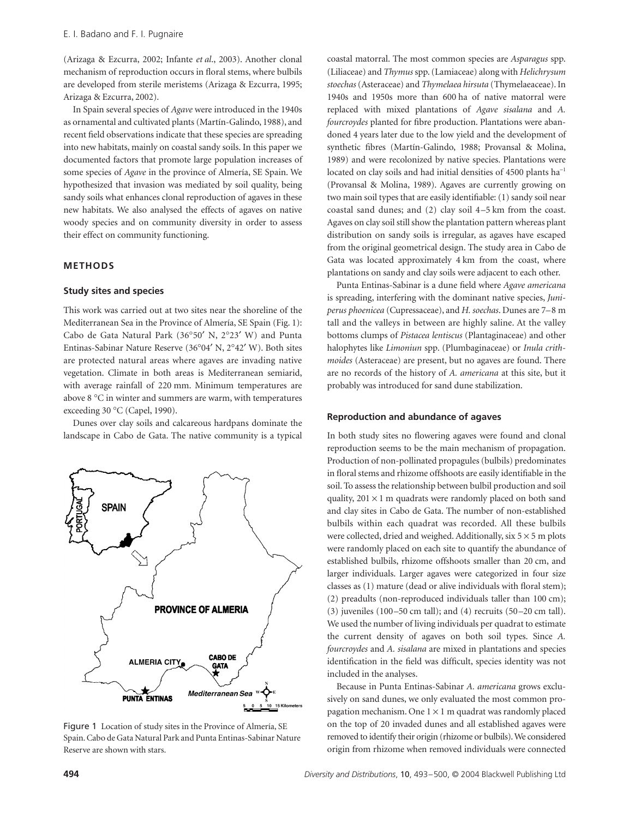(Arizaga & Ezcurra, 2002; Infante *et al*., 2003). Another clonal mechanism of reproduction occurs in floral stems, where bulbils are developed from sterile meristems (Arizaga & Ezcurra, 1995; Arizaga & Ezcurra, 2002).

In Spain several species of *Agave* were introduced in the 1940s as ornamental and cultivated plants (Martín-Galindo, 1988), and recent field observations indicate that these species are spreading into new habitats, mainly on coastal sandy soils. In this paper we documented factors that promote large population increases of some species of *Agave* in the province of Almería, SE Spain. We hypothesized that invasion was mediated by soil quality, being sandy soils what enhances clonal reproduction of agaves in these new habitats. We also analysed the effects of agaves on native woody species and on community diversity in order to assess their effect on community functioning.

# **METHODS**

## **Study sites and species**

This work was carried out at two sites near the shoreline of the Mediterranean Sea in the Province of Almería, SE Spain (Fig. 1): Cabo de Gata Natural Park (36°50′ N, 2°23′ W) and Punta Entinas-Sabinar Nature Reserve (36°04′ N, 2°42′ W). Both sites are protected natural areas where agaves are invading native vegetation. Climate in both areas is Mediterranean semiarid, with average rainfall of 220 mm. Minimum temperatures are above 8 °C in winter and summers are warm, with temperatures exceeding 30 °C (Capel, 1990).

Dunes over clay soils and calcareous hardpans dominate the landscape in Cabo de Gata. The native community is a typical



Figure 1 Location of study sites in the Province of Almería, SE Spain. Cabo de Gata Natural Park and Punta Entinas-Sabinar Nature Reserve are shown with stars.

coastal matorral. The most common species are *Asparagus* spp. (Liliaceae) and *Thymus* spp. (Lamiaceae) along with *Helichrysum stoechas*(Asteraceae) and *Thymelaea hirsuta* (Thymelaeaceae). In 1940s and 1950s more than 600 ha of native matorral were replaced with mixed plantations of *Agave sisalana* and *A. fourcroydes* planted for fibre production. Plantations were abandoned 4 years later due to the low yield and the development of synthetic fibres (Martín-Galindo, 1988; Provansal & Molina, 1989) and were recolonized by native species. Plantations were located on clay soils and had initial densities of 4500 plants ha<sup>−</sup><sup>1</sup> (Provansal & Molina, 1989). Agaves are currently growing on two main soil types that are easily identifiable: (1) sandy soil near coastal sand dunes; and (2) clay soil 4–5 km from the coast. Agaves on clay soil still show the plantation pattern whereas plant distribution on sandy soils is irregular, as agaves have escaped from the original geometrical design. The study area in Cabo de Gata was located approximately 4 km from the coast, where plantations on sandy and clay soils were adjacent to each other.

Punta Entinas-Sabinar is a dune field where *Agave americana* is spreading, interfering with the dominant native species, *Juniperus phoenicea* (Cupressaceae), and *H. soechas*. Dunes are 7–8 m tall and the valleys in between are highly saline. At the valley bottoms clumps of *Pistacea lentiscus* (Plantaginaceae) and other halophytes like *Limoniun* spp. (Plumbaginaceae) or *Inula crithmoides* (Asteraceae) are present, but no agaves are found. There are no records of the history of *A. americana* at this site, but it probably was introduced for sand dune stabilization.

## **Reproduction and abundance of agaves**

In both study sites no flowering agaves were found and clonal reproduction seems to be the main mechanism of propagation. Production of non-pollinated propagules (bulbils) predominates in floral stems and rhizome offshoots are easily identifiable in the soil. To assess the relationship between bulbil production and soil quality,  $201 \times 1$  m quadrats were randomly placed on both sand and clay sites in Cabo de Gata. The number of non-established bulbils within each quadrat was recorded. All these bulbils were collected, dried and weighed. Additionally, six  $5 \times 5$  m plots were randomly placed on each site to quantify the abundance of established bulbils, rhizome offshoots smaller than 20 cm, and larger individuals. Larger agaves were categorized in four size classes as (1) mature (dead or alive individuals with floral stem); (2) preadults (non-reproduced individuals taller than 100 cm);  $(3)$  juveniles  $(100-50 \text{ cm tall})$ ; and  $(4)$  recruits  $(50-20 \text{ cm tall})$ . We used the number of living individuals per quadrat to estimate the current density of agaves on both soil types. Since *A. fourcroydes* and *A. sisalana* are mixed in plantations and species identification in the field was difficult, species identity was not included in the analyses.

Because in Punta Entinas-Sabinar *A. americana* grows exclusively on sand dunes, we only evaluated the most common propagation mechanism. One  $1 \times 1$  m quadrat was randomly placed on the top of 20 invaded dunes and all established agaves were removed to identify their origin (rhizome or bulbils). We considered origin from rhizome when removed individuals were connected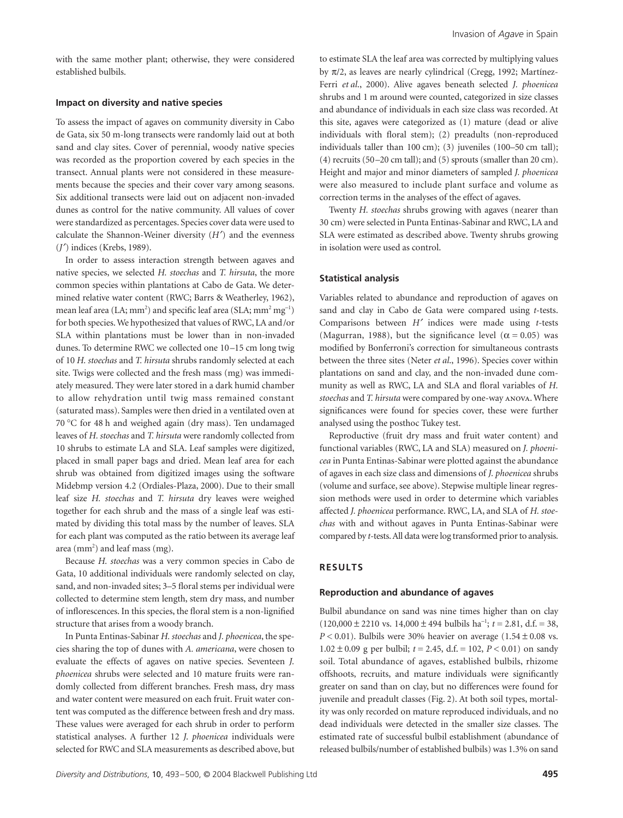with the same mother plant; otherwise, they were considered established bulbils.

#### **Impact on diversity and native species**

To assess the impact of agaves on community diversity in Cabo de Gata, six 50 m-long transects were randomly laid out at both sand and clay sites. Cover of perennial, woody native species was recorded as the proportion covered by each species in the transect. Annual plants were not considered in these measurements because the species and their cover vary among seasons. Six additional transects were laid out on adjacent non-invaded dunes as control for the native community. All values of cover were standardized as percentages. Species cover data were used to calculate the Shannon-Weiner diversity (*H*′) and the evenness (*J*′) indices (Krebs, 1989).

In order to assess interaction strength between agaves and native species, we selected *H. stoechas* and *T. hirsuta*, the more common species within plantations at Cabo de Gata. We determined relative water content (RWC; Barrs & Weatherley, 1962), mean leaf area (LA;  $mm<sup>2</sup>$ ) and specific leaf area (SLA;  $mm<sup>2</sup>$  mg<sup>-1</sup>) for both species. We hypothesized that values of RWC, LA and/or SLA within plantations must be lower than in non-invaded dunes. To determine RWC we collected one 10–15 cm long twig of 10 *H. stoechas* and *T. hirsuta* shrubs randomly selected at each site. Twigs were collected and the fresh mass (mg) was immediately measured. They were later stored in a dark humid chamber to allow rehydration until twig mass remained constant (saturated mass). Samples were then dried in a ventilated oven at 70 °C for 48 h and weighed again (dry mass). Ten undamaged leaves of *H. stoechas* and *T. hirsuta* were randomly collected from 10 shrubs to estimate LA and SLA. Leaf samples were digitized, placed in small paper bags and dried. Mean leaf area for each shrub was obtained from digitized images using the software Midebmp version 4.2 (Ordiales-Plaza, 2000). Due to their small leaf size *H. stoechas* and *T. hirsuta* dry leaves were weighed together for each shrub and the mass of a single leaf was estimated by dividing this total mass by the number of leaves. SLA for each plant was computed as the ratio between its average leaf area  $\text{(mm)}^2$  and leaf mass  $\text{(mg)}$ .

Because *H. stoechas* was a very common species in Cabo de Gata, 10 additional individuals were randomly selected on clay, sand, and non-invaded sites; 3–5 floral stems per individual were collected to determine stem length, stem dry mass, and number of inflorescences. In this species, the floral stem is a non-lignified structure that arises from a woody branch.

In Punta Entinas-Sabinar *H. stoechas* and *J. phoenicea*, the species sharing the top of dunes with *A. americana*, were chosen to evaluate the effects of agaves on native species. Seventeen *J. phoenicea* shrubs were selected and 10 mature fruits were randomly collected from different branches. Fresh mass, dry mass and water content were measured on each fruit. Fruit water content was computed as the difference between fresh and dry mass. These values were averaged for each shrub in order to perform statistical analyses. A further 12 *J*. *phoenicea* individuals were selected for RWC and SLA measurements as described above, but

to estimate SLA the leaf area was corrected by multiplying values by π/2, as leaves are nearly cylindrical (Cregg, 1992; Martínez-Ferri *et al*., 2000). Alive agaves beneath selected *J. phoenicea* shrubs and 1 m around were counted, categorized in size classes and abundance of individuals in each size class was recorded. At this site, agaves were categorized as (1) mature (dead or alive individuals with floral stem); (2) preadults (non-reproduced individuals taller than 100 cm); (3) juveniles (100–50 cm tall); (4) recruits (50–20 cm tall); and (5) sprouts (smaller than 20 cm). Height and major and minor diameters of sampled *J. phoenicea* were also measured to include plant surface and volume as correction terms in the analyses of the effect of agaves.

Twenty *H. stoechas* shrubs growing with agaves (nearer than 30 cm) were selected in Punta Entinas-Sabinar and RWC, LA and SLA were estimated as described above. Twenty shrubs growing in isolation were used as control.

## **Statistical analysis**

Variables related to abundance and reproduction of agaves on sand and clay in Cabo de Gata were compared using *t*-tests. Comparisons between *H*′ indices were made using *t*-tests (Magurran, 1988), but the significance level ( $\alpha = 0.05$ ) was modified by Bonferroni's correction for simultaneous contrasts between the three sites (Neter *et al*., 1996). Species cover within plantations on sand and clay, and the non-invaded dune community as well as RWC, LA and SLA and floral variables of *H. stoechas* and *T. hirsuta* were compared by one-way ANOVA. Where significances were found for species cover, these were further analysed using the posthoc Tukey test.

Reproductive (fruit dry mass and fruit water content) and functional variables (RWC, LA and SLA) measured on *J. phoenicea* in Punta Entinas-Sabinar were plotted against the abundance of agaves in each size class and dimensions of *J. phoenicea* shrubs (volume and surface, see above). Stepwise multiple linear regression methods were used in order to determine which variables affected *J. phoenicea* performance. RWC, LA, and SLA of *H. stoechas* with and without agaves in Punta Entinas-Sabinar were compared by *t*-tests. All data were log transformed prior to analysis.

## **RESULTS**

#### **Reproduction and abundance of agaves**

Bulbil abundance on sand was nine times higher than on clay (120,000 ± 2210 vs. 14,000 ± 494 bulbils ha<sup>−</sup><sup>1</sup> ; *t* = 2.81, d.f. = 38,  $P < 0.01$ ). Bulbils were 30% heavier on average  $(1.54 \pm 0.08 \text{ vs.})$ 1.02  $\pm$  0.09 g per bulbil;  $t = 2.45$ , d.f. = 102,  $P < 0.01$ ) on sandy soil. Total abundance of agaves, established bulbils, rhizome offshoots, recruits, and mature individuals were significantly greater on sand than on clay, but no differences were found for juvenile and preadult classes (Fig. 2). At both soil types, mortality was only recorded on mature reproduced individuals, and no dead individuals were detected in the smaller size classes. The estimated rate of successful bulbil establishment (abundance of released bulbils/number of established bulbils) was 1.3% on sand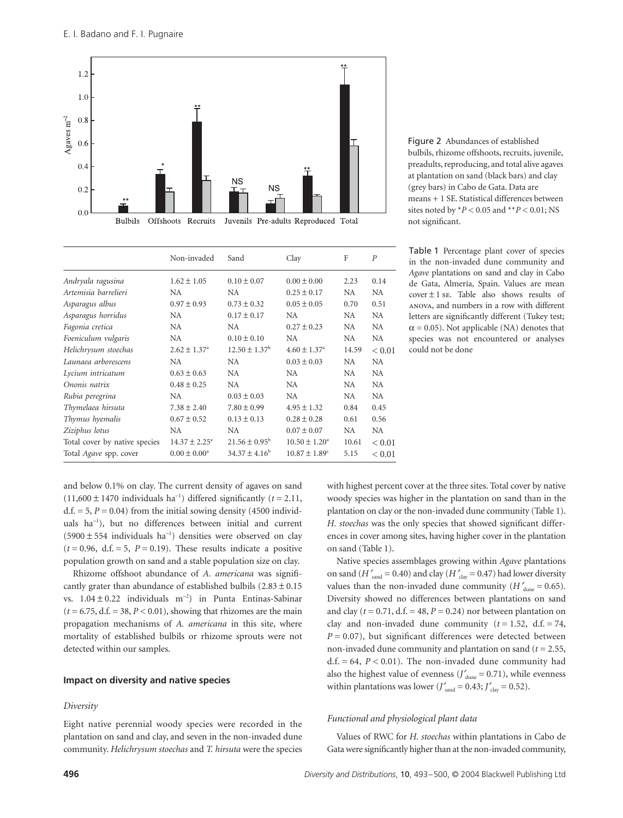

|                               | Non-invaded              | Sand                     | Clay                          | F     | P           |
|-------------------------------|--------------------------|--------------------------|-------------------------------|-------|-------------|
| Andryala ragusina             | $1.62 \pm 1.05$          | $0.10 \pm 0.07$          | $0.00 \pm 0.00$               | 2.23  | 0.14        |
| Artemisia barrelieri          | <b>NA</b>                | NA                       | $0.25 \pm 0.17$               | NA    | <b>NA</b>   |
| Asparagus albus               | $0.97 \pm 0.93$          | $0.73 \pm 0.32$          | $0.05 \pm 0.05$               | 0.70  | 0.51        |
| Asparagus horridus            | <b>NA</b>                | $0.17 \pm 0.17$          | NA                            | NA    | <b>NA</b>   |
| Fagonia cretica               | <b>NA</b>                | NA                       | $0.27 \pm 0.23$               | NA    | <b>NA</b>   |
| Foeniculum vulgaris           | <b>NA</b>                | $0.10 \pm 0.10$          | <b>NA</b>                     | NA    | <b>NA</b>   |
| Helichrysum stoechas          | $2.62 \pm 1.37^{\circ}$  | $12.50 \pm 1.37^{\circ}$ | $4.60 \pm 1.37$ <sup>a</sup>  | 14.59 | < 0.01      |
| Launaea arborescens           | <b>NA</b>                | NA                       | $0.03 \pm 0.03$               | NA    | <b>NA</b>   |
| Lycium intricatum             | $0.63 \pm 0.63$          | NA                       | <b>NA</b>                     | NA    | <b>NA</b>   |
| Ononis natrix                 | $0.48 \pm 0.25$          | NA                       | <b>NA</b>                     | NA    | <b>NA</b>   |
| Rubia peregrina               | NA                       | $0.03 \pm 0.03$          | <b>NA</b>                     | NA    | <b>NA</b>   |
| Thymelaea hirsuta             | $7.38 \pm 2.40$          | $7.80 \pm 0.99$          | $4.95 \pm 1.32$               | 0.84  | 0.45        |
| Thymus hyemalis               | $0.67 \pm 0.52$          | $0.13 \pm 0.13$          | $0.28 \pm 0.28$               | 0.61  | 0.56        |
| Ziziphus lotus                | <b>NA</b>                | NA                       | $0.07 \pm 0.07$               | NA    | <b>NA</b>   |
| Total cover by native species | $14.37 \pm 2.25^{\circ}$ | $21.56 \pm 0.95^{\circ}$ | $10.50 \pm 1.20^{\circ}$      | 10.61 | ${}_{0.01}$ |
| Total Agave spp. cover        | $0.00 \pm 0.00^{\circ}$  | $34.37 \pm 4.16^b$       | $10.87 \pm 1.89$ <sup>c</sup> | 5.15  | ${}_{0.01}$ |
|                               |                          |                          |                               |       |             |

and below 0.1% on clay. The current density of agaves on sand (11,600 ± 1470 individuals ha<sup>−</sup><sup>1</sup> ) differed significantly (*t* = 2.11,  $d.f. = 5, P = 0.04$ ) from the initial sowing density (4500 individuals ha<sup>−</sup><sup>1</sup> ), but no differences between initial and current (5900 ± 554 individuals ha<sup>−</sup><sup>1</sup> ) densities were observed on clay  $(t=0.96, d.f. = 5, P = 0.19)$ . These results indicate a positive population growth on sand and a stable population size on clay.

Rhizome offshoot abundance of *A. americana* was significantly grater than abundance of established bulbils  $(2.83 \pm 0.15$ vs.  $1.04 \pm 0.22$  individuals m<sup>-2</sup>) in Punta Entinas-Sabinar  $(t = 6.75, d.f. = 38, P < 0.01)$ , showing that rhizomes are the main propagation mechanisms of *A. americana* in this site, where mortality of established bulbils or rhizome sprouts were not detected within our samples.

#### **Impact on diversity and native species**

#### *Diversity*

Eight native perennial woody species were recorded in the plantation on sand and clay, and seven in the non-invaded dune community. *Helichrysum stoechas* and *T. hirsuta* were the species Figure 2 Abundances of established bulbils, rhizome offshoots, recruits, juvenile, preadults, reproducing, and total alive agaves at plantation on sand (black bars) and clay (grey bars) in Cabo de Gata. Data are means + 1 SE. Statistical differences between sites noted by  ${}^{\ast}P$  < 0.05 and  ${}^{\ast}{}^{\ast}P$  < 0.01; NS not significant.

Table 1 Percentage plant cover of species in the non-invaded dune community and *Agave* plantations on sand and clay in Cabo de Gata, Almería, Spain. Values are mean  $cover \pm 1$  se. Table also shows results of , and numbers in a row with different letters are significantly different (Tukey test;  $\alpha$  = 0.05). Not applicable (NA) denotes that species was not encountered or analyses could not be done

with highest percent cover at the three sites. Total cover by native woody species was higher in the plantation on sand than in the plantation on clay or the non-invaded dune community (Table 1). *H. stoechas* was the only species that showed significant differences in cover among sites, having higher cover in the plantation on sand (Table 1).

Native species assemblages growing within *Agave* plantations on sand ( $H'_{\text{sand}} = 0.40$ ) and clay ( $H'_{\text{clav}} = 0.47$ ) had lower diversity values than the non-invaded dune community  $(H'_{\text{dune}} = 0.65)$ . Diversity showed no differences between plantations on sand and clay ( $t = 0.71$ , d.f. = 48,  $P = 0.24$ ) nor between plantation on clay and non-invaded dune community  $(t = 1.52, d.f. = 74,$  $P = 0.07$ , but significant differences were detected between non-invaded dune community and plantation on sand (*t* = 2.55,  $d.f. = 64, P < 0.01$ . The non-invaded dune community had also the highest value of evenness  $(J'_{\text{dune}} = 0.71)$ , while evenness within plantations was lower  $(J'_{\text{sand}} = 0.43; J'_{\text{clay}} = 0.52)$ .

# *Functional and physiological plant data*

Values of RWC for *H. stoechas* within plantations in Cabo de Gata were significantly higher than at the non-invaded community,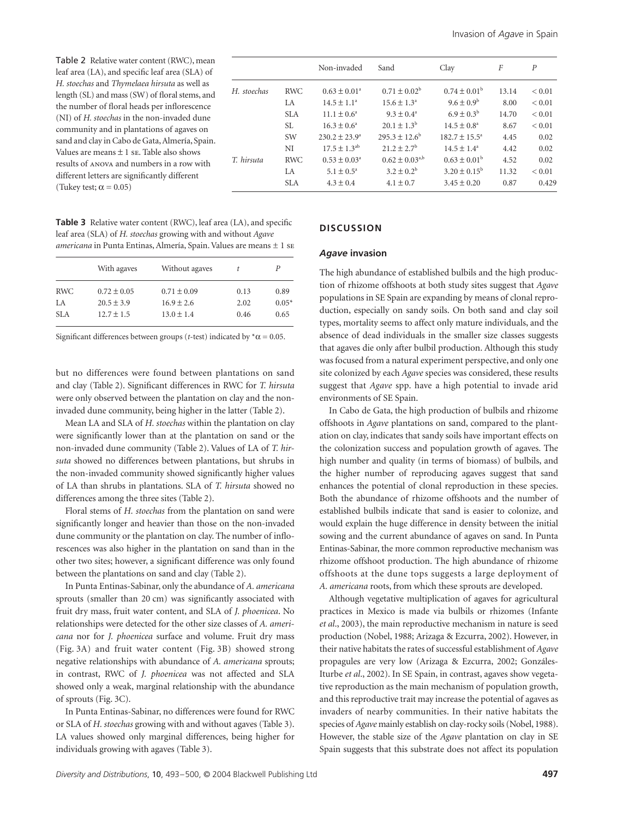| Table 2 Relative water content (RWC), mean                                                                                                                                                           |             |                                        |                                                                                                     |                                                                                                            |                                                                                                          |                                |                                                      |
|------------------------------------------------------------------------------------------------------------------------------------------------------------------------------------------------------|-------------|----------------------------------------|-----------------------------------------------------------------------------------------------------|------------------------------------------------------------------------------------------------------------|----------------------------------------------------------------------------------------------------------|--------------------------------|------------------------------------------------------|
| leaf area (LA), and specific leaf area (SLA) of                                                                                                                                                      |             |                                        | Non-invaded                                                                                         | Sand                                                                                                       | Clay                                                                                                     | F                              | P                                                    |
| H. stoechas and Thymelaea hirsuta as well as<br>length (SL) and mass (SW) of floral stems, and<br>the number of floral heads per inflorescence<br>(NI) of <i>H. stoechas</i> in the non-invaded dune | H. stoechas | <b>RWC</b><br>LA.<br><b>SLA</b><br>SL. | $0.63 \pm 0.01^{\circ}$<br>$14.5 \pm 1.1^a$<br>$11.1 \pm 0.6^{\circ}$<br>$16.3 \pm 0.6^{\circ}$     | $0.71 \pm 0.02^b$<br>$15.6 \pm 1.3^{\circ}$<br>$9.3 \pm 0.4^{\circ}$<br>$20.1 \pm 1.3^b$                   | $0.74 \pm 0.01^{\rm b}$<br>$9.6 \pm 0.9^b$<br>$6.9 \pm 0.3^b$<br>$14.5 \pm 0.8^{\circ}$                  | 13.14<br>8.00<br>14.70<br>8.67 | ${}< 0.01$<br>${}< 0.01$<br>${}< 0.01$<br>${}< 0.01$ |
| community and in plantations of agaves on<br>sand and clay in Cabo de Gata, Almería, Spain.<br>Values are means $\pm$ 1 se. Table also shows<br>results of ANOVA and numbers in a row with           | T. hirsuta  | <b>SW</b><br>NI<br><b>RWC</b><br>LA.   | $230.2 \pm 23.9^{\circ}$<br>$17.5 \pm 1.3^{ab}$<br>$0.53 \pm 0.03^{\circ}$<br>$5.1 \pm 0.5^{\circ}$ | $295.3 \pm 12.6^{\circ}$<br>$21.2 \pm 2.7$ <sup>b</sup><br>$0.62 \pm 0.03^{\text{a,b}}$<br>$3.2 \pm 0.2^b$ | $182.7 \pm 15.5^{\circ}$<br>$14.5 \pm 1.4^{\circ}$<br>$0.63 \pm 0.01^{\rm b}$<br>$3.20 \pm 0.15^{\rm b}$ | 4.45<br>4.42<br>4.52<br>11.32  | 0.02<br>0.02<br>0.02<br>${}< 0.01$                   |
| different letters are significantly different<br>(Tukey test; $\alpha = 0.05$ )                                                                                                                      |             | <b>SLA</b>                             | $4.3 \pm 0.4$                                                                                       | $4.1 \pm 0.7$                                                                                              | $3.45 \pm 0.20$                                                                                          | 0.87                           | 0.429                                                |

**Table 3** Relative water content (RWC), leaf area (LA), and specific leaf area (SLA) of *H. stoechas* growing with and without *Agave americana* in Punta Entinas, Almería, Spain. Values are means ± 1

|            | With agaves     | Without agaves  |      | P       |
|------------|-----------------|-----------------|------|---------|
| <b>RWC</b> | $0.72 \pm 0.05$ | $0.71 \pm 0.09$ | 0.13 | 0.89    |
| LA         | $20.5 \pm 3.9$  | $16.9 \pm 2.6$  | 2.02 | $0.05*$ |
| SLA        | $12.7 \pm 1.5$  | $13.0 \pm 1.4$  | 0.46 | 0.65    |

Significant differences between groups (*t*-test) indicated by  $*\alpha = 0.05$ .

but no differences were found between plantations on sand and clay (Table 2). Significant differences in RWC for *T. hirsuta* were only observed between the plantation on clay and the noninvaded dune community, being higher in the latter (Table 2).

Mean LA and SLA of *H. stoechas* within the plantation on clay were significantly lower than at the plantation on sand or the non-invaded dune community (Table 2). Values of LA of *T. hirsuta* showed no differences between plantations, but shrubs in the non-invaded community showed significantly higher values of LA than shrubs in plantations. SLA of *T. hirsuta* showed no differences among the three sites (Table 2).

Floral stems of *H. stoechas* from the plantation on sand were significantly longer and heavier than those on the non-invaded dune community or the plantation on clay. The number of inflorescences was also higher in the plantation on sand than in the other two sites; however, a significant difference was only found between the plantations on sand and clay (Table 2).

In Punta Entinas-Sabinar, only the abundance of *A. americana* sprouts (smaller than 20 cm) was significantly associated with fruit dry mass, fruit water content, and SLA of *J. phoenicea*. No relationships were detected for the other size classes of *A. americana* nor for *J. phoenicea* surface and volume. Fruit dry mass (Fig. 3A) and fruit water content (Fig. 3B) showed strong negative relationships with abundance of *A. americana* sprouts; in contrast, RWC of *J. phoenicea* was not affected and SLA showed only a weak, marginal relationship with the abundance of sprouts (Fig. 3C).

In Punta Entinas-Sabinar, no differences were found for RWC or SLA of *H. stoechas* growing with and without agaves (Table 3). LA values showed only marginal differences, being higher for individuals growing with agaves (Table 3).

## **DISCUSSION**

#### *Agave* **invasion**

The high abundance of established bulbils and the high production of rhizome offshoots at both study sites suggest that *Agave* populations in SE Spain are expanding by means of clonal reproduction, especially on sandy soils. On both sand and clay soil types, mortality seems to affect only mature individuals, and the absence of dead individuals in the smaller size classes suggests that agaves die only after bulbil production. Although this study was focused from a natural experiment perspective, and only one site colonized by each *Agave* species was considered, these results suggest that *Agave* spp. have a high potential to invade arid environments of SE Spain.

In Cabo de Gata, the high production of bulbils and rhizome offshoots in *Agave* plantations on sand, compared to the plantation on clay, indicates that sandy soils have important effects on the colonization success and population growth of agaves. The high number and quality (in terms of biomass) of bulbils, and the higher number of reproducing agaves suggest that sand enhances the potential of clonal reproduction in these species. Both the abundance of rhizome offshoots and the number of established bulbils indicate that sand is easier to colonize, and would explain the huge difference in density between the initial sowing and the current abundance of agaves on sand. In Punta Entinas-Sabinar, the more common reproductive mechanism was rhizome offshoot production. The high abundance of rhizome offshoots at the dune tops suggests a large deployment of *A. americana* roots, from which these sprouts are developed.

Although vegetative multiplication of agaves for agricultural practices in Mexico is made via bulbils or rhizomes (Infante *et al*., 2003), the main reproductive mechanism in nature is seed production (Nobel, 1988; Arizaga & Ezcurra, 2002). However, in their native habitats the rates of successful establishment of *Agave* propagules are very low (Arizaga & Ezcurra, 2002; Gonzáles-Iturbe *et al*., 2002). In SE Spain, in contrast, agaves show vegetative reproduction as the main mechanism of population growth, and this reproductive trait may increase the potential of agaves as invaders of nearby communities. In their native habitats the species of *Agave* mainly establish on clay-rocky soils (Nobel, 1988). However, the stable size of the *Agave* plantation on clay in SE Spain suggests that this substrate does not affect its population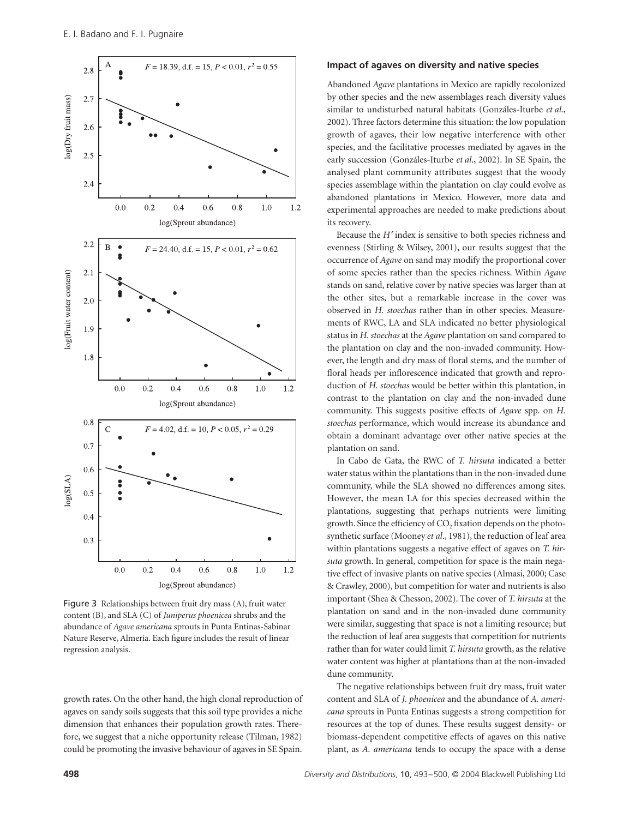

Figure 3 Relationships between fruit dry mass (A), fruit water content (B), and SLA (C) of *Juniperus phoenicea* shrubs and the abundance of *Agave americana* sprouts in Punta Entinas-Sabinar Nature Reserve, Almería. Each figure includes the result of linear regression analysis.

growth rates. On the other hand, the high clonal reproduction of agaves on sandy soils suggests that this soil type provides a niche dimension that enhances their population growth rates. Therefore, we suggest that a niche opportunity release (Tilman, 1982) could be promoting the invasive behaviour of agaves in SE Spain.

#### **Impact of agaves on diversity and native species**

Abandoned *Agave* plantations in Mexico are rapidly recolonized by other species and the new assemblages reach diversity values similar to undisturbed natural habitats (Gonzáles-Iturbe *et al*., 2002). Three factors determine this situation: the low population growth of agaves, their low negative interference with other species, and the facilitative processes mediated by agaves in the early succession (Gonzáles-Iturbe *et al*., 2002). In SE Spain, the analysed plant community attributes suggest that the woody species assemblage within the plantation on clay could evolve as abandoned plantations in Mexico. However, more data and experimental approaches are needed to make predictions about its recovery.

Because the *H*′ index is sensitive to both species richness and evenness (Stirling & Wilsey, 2001), our results suggest that the occurrence of *Agave* on sand may modify the proportional cover of some species rather than the species richness. Within *Agave* stands on sand, relative cover by native species was larger than at the other sites, but a remarkable increase in the cover was observed in *H. stoechas* rather than in other species. Measurements of RWC, LA and SLA indicated no better physiological status in *H. stoechas* at the *Agave* plantation on sand compared to the plantation on clay and the non-invaded community. However, the length and dry mass of floral stems, and the number of floral heads per inflorescence indicated that growth and reproduction of *H. stoechas* would be better within this plantation, in contrast to the plantation on clay and the non-invaded dune community. This suggests positive effects of *Agave* spp. on *H. stoechas* performance, which would increase its abundance and obtain a dominant advantage over other native species at the plantation on sand.

In Cabo de Gata, the RWC of *T. hirsuta* indicated a better water status within the plantations than in the non-invaded dune community, while the SLA showed no differences among sites. However, the mean LA for this species decreased within the plantations, suggesting that perhaps nutrients were limiting growth. Since the efficiency of CO<sub>2</sub> fixation depends on the photosynthetic surface (Mooney *et al*., 1981), the reduction of leaf area within plantations suggests a negative effect of agaves on *T. hirsuta* growth. In general, competition for space is the main negative effect of invasive plants on native species (Almasi, 2000; Case & Crawley, 2000), but competition for water and nutrients is also important (Shea & Chesson, 2002). The cover of *T. hirsuta* at the plantation on sand and in the non-invaded dune community were similar, suggesting that space is not a limiting resource; but the reduction of leaf area suggests that competition for nutrients rather than for water could limit *T. hirsuta* growth, as the relative water content was higher at plantations than at the non-invaded dune community.

The negative relationships between fruit dry mass, fruit water content and SLA of *J. phoenicea* and the abundance of *A. americana* sprouts in Punta Entinas suggests a strong competition for resources at the top of dunes. These results suggest density- or biomass-dependent competitive effects of agaves on this native plant, as *A. americana* tends to occupy the space with a dense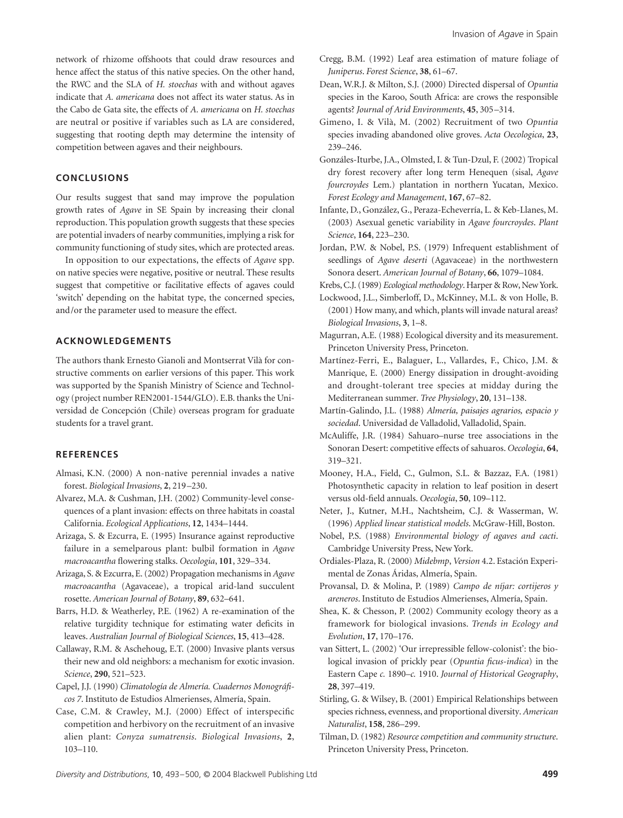network of rhizome offshoots that could draw resources and hence affect the status of this native species. On the other hand, the RWC and the SLA of *H. stoechas* with and without agaves indicate that *A. americana* does not affect its water status. As in the Cabo de Gata site, the effects of *A. americana* on *H. stoechas* are neutral or positive if variables such as LA are considered, suggesting that rooting depth may determine the intensity of competition between agaves and their neighbours.

# **CONCLUSIONS**

Our results suggest that sand may improve the population growth rates of *Agave* in SE Spain by increasing their clonal reproduction. This population growth suggests that these species are potential invaders of nearby communities, implying a risk for community functioning of study sites, which are protected areas.

In opposition to our expectations, the effects of *Agave* spp. on native species were negative, positive or neutral. These results suggest that competitive or facilitative effects of agaves could 'switch' depending on the habitat type, the concerned species, and/or the parameter used to measure the effect.

# **ACKNOWLEDGEMENTS**

The authors thank Ernesto Gianoli and Montserrat Vilà for constructive comments on earlier versions of this paper. This work was supported by the Spanish Ministry of Science and Technology (project number REN2001-1544/GLO). E.B. thanks the Universidad de Concepción (Chile) overseas program for graduate students for a travel grant.

## **REFERENCES**

- Almasi, K.N. (2000) A non-native perennial invades a native forest. *Biological Invasions*, **2**, 219–230.
- Alvarez, M.A. & Cushman, J.H. (2002) Community-level consequences of a plant invasion: effects on three habitats in coastal California. *Ecological Applications*, **12**, 1434–1444.
- Arizaga, S. & Ezcurra, E. (1995) Insurance against reproductive failure in a semelparous plant: bulbil formation in *Agave macroacantha* flowering stalks. *Oecologia*, **101**, 329–334.
- Arizaga, S. & Ezcurra, E. (2002) Propagation mechanisms in *Agave macroacantha* (Agavaceae), a tropical arid-land succulent rosette. *American Journal of Botany*, **89**, 632–641.
- Barrs, H.D. & Weatherley, P.E. (1962) A re-examination of the relative turgidity technique for estimating water deficits in leaves. *Australian Journal of Biological Sciences*, **15**, 413–428.
- Callaway, R.M. & Aschehoug, E.T. (2000) Invasive plants versus their new and old neighbors: a mechanism for exotic invasion. *Science*, **290**, 521–523.
- Capel, J.J. (1990) *Climatología de Almería. Cuadernos Monográficos 7*. Instituto de Estudios Almerienses, Almería, Spain.
- Case, C.M. & Crawley, M.J. (2000) Effect of interspecific competition and herbivory on the recruitment of an invasive alien plant: *Conyza sumatrensis*. *Biological Invasions*, **2**, 103–110.
- Cregg, B.M. (1992) Leaf area estimation of mature foliage of *Juniperus*. *Forest Science*, **38**, 61–67.
- Dean, W.R.J. & Milton, S.J. (2000) Directed dispersal of *Opuntia* species in the Karoo, South Africa: are crows the responsible agents? *Journal of Arid Environments*, **45**, 305–314.
- Gimeno, I. & Vilà, M. (2002) Recruitment of two *Opuntia* species invading abandoned olive groves. *Acta Oecologica*, **23**, 239–246.
- Gonzáles-Iturbe, J.A., Olmsted, I. & Tun-Dzul, F. (2002) Tropical dry forest recovery after long term Henequen (sisal, *Agave fourcroydes* Lem.) plantation in northern Yucatan, Mexico. *Forest Ecology and Management*, **167**, 67–82.
- Infante, D., González, G., Peraza-Echeverría, L. & Keb-Llanes, M. (2003) Asexual genetic variability in *Agave fourcroydes*. *Plant Science*, **164**, 223–230.
- Jordan, P.W. & Nobel, P.S. (1979) Infrequent establishment of seedlings of *Agave deserti* (Agavaceae) in the northwestern Sonora desert. *American Journal of Botany*, **66**, 1079–1084.
- Krebs, C.J. (1989) *Ecological methodology*. Harper & Row, New York.
- Lockwood, J.L., Simberloff, D., McKinney, M.L. & von Holle, B. (2001) How many, and which, plants will invade natural areas? *Biological Invasions*, **3**, 1–8.
- Magurran, A.E. (1988) Ecological diversity and its measurement. Princeton University Press, Princeton.
- Martínez-Ferri, E., Balaguer, L., Vallardes, F., Chico, J.M. & Manrique, E. (2000) Energy dissipation in drought-avoiding and drought-tolerant tree species at midday during the Mediterranean summer. *Tree Physiology*, **20**, 131–138.
- Martín-Galindo, J.L. (1988) *Almería, paisajes agrarios, espacio y sociedad*. Universidad de Valladolid, Valladolid, Spain.
- McAuliffe, J.R. (1984) Sahuaro–nurse tree associations in the Sonoran Desert: competitive effects of sahuaros. *Oecologia*, **64**, 319–321.
- Mooney, H.A., Field, C., Gulmon, S.L. & Bazzaz, F.A. (1981) Photosynthetic capacity in relation to leaf position in desert versus old-field annuals. *Oecologia*, **50**, 109–112.
- Neter, J., Kutner, M.H., Nachtsheim, C.J. & Wasserman, W. (1996) *Applied linear statistical models*. McGraw-Hill, Boston.
- Nobel, P.S. (1988) *Environmental biology of agaves and cacti*. Cambridge University Press, New York.
- Ordiales-Plaza, R. (2000) *Midebmp*, *Version* 4.2. Estación Experimental de Zonas Áridas, Almería, Spain.
- Provansal, D. & Molina, P. (1989) *Campo de níjar: cortijeros y areneros*. Instituto de Estudios Almerienses, Almería, Spain.
- Shea, K. & Chesson, P. (2002) Community ecology theory as a framework for biological invasions. *Trends in Ecology and Evolution*, **17**, 170–176.
- van Sittert, L. (2002) 'Our irrepressible fellow-colonist': the biological invasion of prickly pear (*Opuntia ficus-indica*) in the Eastern Cape *c.* 1890–*c.* 1910. *Journal of Historical Geography*, **28**, 397–419.
- Stirling, G. & Wilsey, B. (2001) Empirical Relationships between species richness, evenness, and proportional diversity. *American Naturalist*, **158**, 286–299.
- Tilman, D. (1982) *Resource competition and community structure*. Princeton University Press, Princeton.